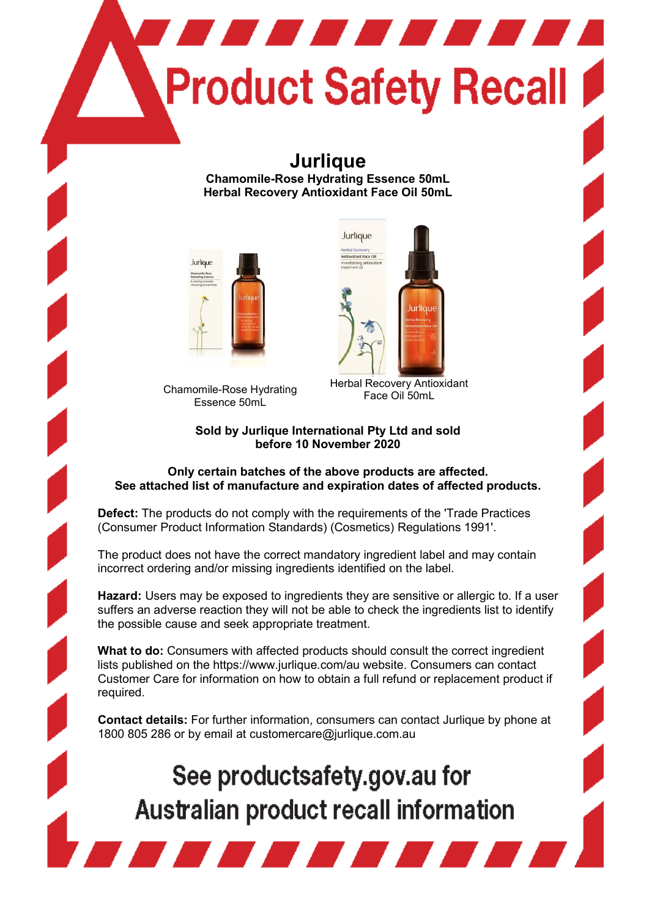# **TELEVISION Product Safety Recall**

## **Jurlique**

**Chamomile-Rose Hydrating Essence 50mL Herbal Recovery Antioxidant Face Oil 50mL**



Chamomile-Rose Hydrating Essence 50mL



Herbal Recovery Antioxidant Face Oil 50mL

#### **Sold by Jurlique International Pty Ltd and sold before 10 November 2020**

#### **Only certain batches of the above products are affected. See attached list of manufacture and expiration dates of affected products.**

**Defect:** The products do not comply with the requirements of the 'Trade Practices (Consumer Product Information Standards) (Cosmetics) Regulations 1991'.

The product does not have the correct mandatory ingredient label and may contain incorrect ordering and/or missing ingredients identified on the label.

**Hazard:** Users may be exposed to ingredients they are sensitive or allergic to. If a user suffers an adverse reaction they will not be able to check the ingredients list to identify the possible cause and seek appropriate treatment.

**What to do:** Consumers with affected products should consult the correct ingredient lists published on the https://www.jurlique.com/au website. Consumers can contact Customer Care for information on how to obtain a full refund or replacement product if required.

**Contact details:** For further information, consumers can contact Jurlique by phone at 1800 805 286 or by email at customercare@jurlique.com.au

# See productsafety.gov.au for Australian product recall information

**TATITI DE L'ANNE DE L'ANNE DE L'ANNE DE L'ANNE DE L'ANNE DE L'ANNE DE L'ANNE DE L'ANNE DE L'ANNE DE L'ANNE DE**